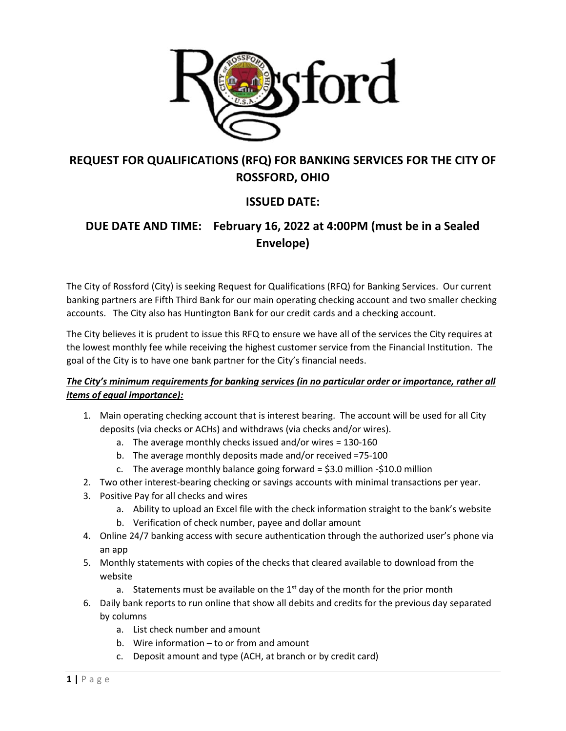

# **REQUEST FOR QUALIFICATIONS (RFQ) FOR BANKING SERVICES FOR THE CITY OF ROSSFORD, OHIO**

### **ISSUED DATE:**

# **DUE DATE AND TIME: February 16, 2022 at 4:00PM (must be in a Sealed Envelope)**

The City of Rossford (City) is seeking Request for Qualifications (RFQ) for Banking Services. Our current banking partners are Fifth Third Bank for our main operating checking account and two smaller checking accounts. The City also has Huntington Bank for our credit cards and a checking account.

The City believes it is prudent to issue this RFQ to ensure we have all of the services the City requires at the lowest monthly fee while receiving the highest customer service from the Financial Institution. The goal of the City is to have one bank partner for the City's financial needs.

### *The City's minimum requirements for banking services (in no particular order or importance, rather all items of equal importance):*

- 1. Main operating checking account that is interest bearing. The account will be used for all City deposits (via checks or ACHs) and withdraws (via checks and/or wires).
	- a. The average monthly checks issued and/or wires = 130-160
	- b. The average monthly deposits made and/or received =75-100
	- c. The average monthly balance going forward =  $$3.0$  million - $$10.0$  million
- 2. Two other interest-bearing checking or savings accounts with minimal transactions per year.
- 3. Positive Pay for all checks and wires
	- a. Ability to upload an Excel file with the check information straight to the bank's website
	- b. Verification of check number, payee and dollar amount
- 4. Online 24/7 banking access with secure authentication through the authorized user's phone via an app
- 5. Monthly statements with copies of the checks that cleared available to download from the website
	- a. Statements must be available on the  $1<sup>st</sup>$  day of the month for the prior month
- 6. Daily bank reports to run online that show all debits and credits for the previous day separated by columns
	- a. List check number and amount
	- b. Wire information to or from and amount
	- c. Deposit amount and type (ACH, at branch or by credit card)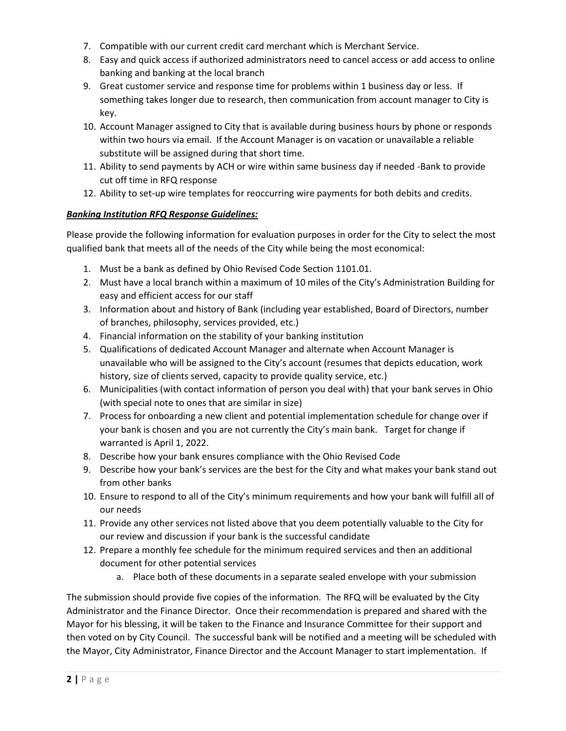- 7. Compatible with our current credit card merchant which is Merchant Service.
- 8. Easy and quick access if authorized administrators need to cancel access or add access to online banking and banking at the local branch
- 9. Great customer service and response time for problems within 1 business day or less. If something takes longer due to research, then communication from account manager to City is key.
- 10. Account Manager assigned to City that is available during business hours by phone or responds within two hours via email. If the Account Manager is on vacation or unavailable a reliable substitute will be assigned during that short time.
- 11. Ability to send payments by ACH or wire within same business day if needed -Bank to provide cut off time in RFQ response
- 12. Ability to set-up wire templates for reoccurring wire payments for both debits and credits.

#### *Banking Institution RFQ Response Guidelines:*

Please provide the following information for evaluation purposes in order for the City to select the most qualified bank that meets all of the needs of the City while being the most economical:

- 1. Must be a bank as defined by Ohio Revised Code Section 1101.01.
- 2. Must have a local branch within a maximum of 10 miles of the City's Administration Building for easy and efficient access for our staff
- 3. Information about and history of Bank (including year established, Board of Directors, number of branches, philosophy, services provided, etc.)
- 4. Financial information on the stability of your banking institution
- 5. Qualifications of dedicated Account Manager and alternate when Account Manager is unavailable who will be assigned to the City's account (resumes that depicts education, work history, size of clients served, capacity to provide quality service, etc.)
- 6. Municipalities (with contact information of person you deal with) that your bank serves in Ohio (with special note to ones that are similar in size)
- 7. Process for onboarding a new client and potential implementation schedule for change over if your bank is chosen and you are not currently the City's main bank. Target for change if warranted is April 1, 2022.
- 8. Describe how your bank ensures compliance with the Ohio Revised Code
- 9. Describe how your bank's services are the best for the City and what makes your bank stand out from other banks
- 10. Ensure to respond to all of the City's minimum requirements and how your bank will fulfill all of our needs
- 11. Provide any other services not listed above that you deem potentially valuable to the City for our review and discussion if your bank is the successful candidate
- 12. Prepare a monthly fee schedule for the minimum required services and then an additional document for other potential services
	- a. Place both of these documents in a separate sealed envelope with your submission

The submission should provide five copies of the information. The RFQ will be evaluated by the City Administrator and the Finance Director. Once their recommendation is prepared and shared with the Mayor for his blessing, it will be taken to the Finance and Insurance Committee for their support and then voted on by City Council. The successful bank will be notified and a meeting will be scheduled with the Mayor, City Administrator, Finance Director and the Account Manager to start implementation. If